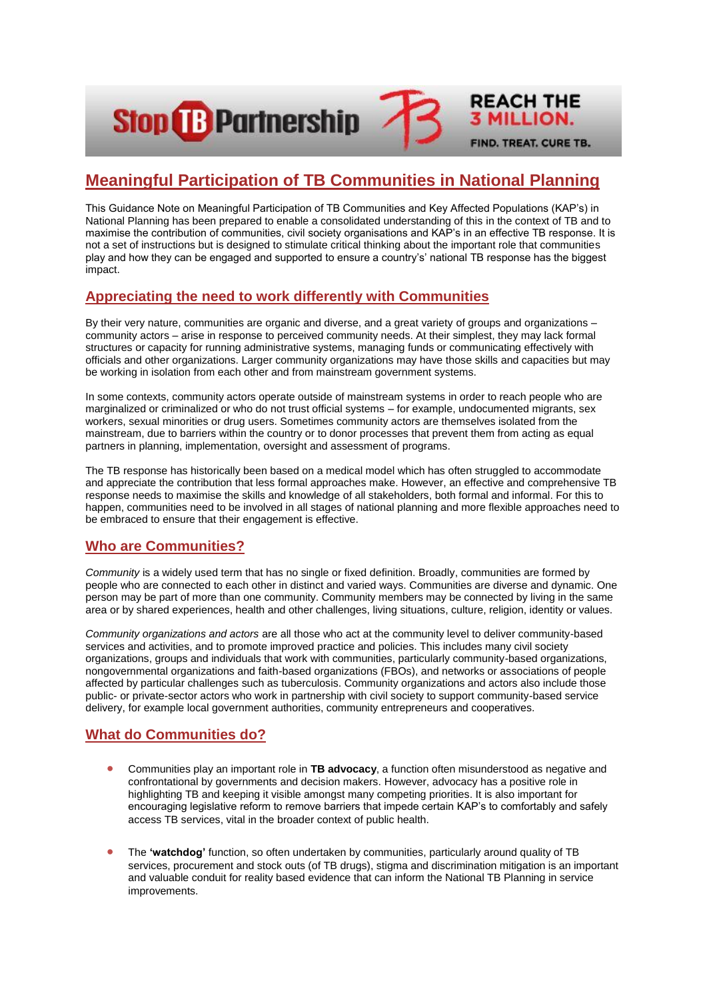**Stop &B Partnership** 

# **Meaningful Participation of TB Communities in National Planning**

**REACH THE** 

**3 MILLION.** 

FIND. TREAT. CURE TB.

This Guidance Note on Meaningful Participation of TB Communities and Key Affected Populations (KAP's) in National Planning has been prepared to enable a consolidated understanding of this in the context of TB and to maximise the contribution of communities, civil society organisations and KAP's in an effective TB response. It is not a set of instructions but is designed to stimulate critical thinking about the important role that communities play and how they can be engaged and supported to ensure a country's' national TB response has the biggest impact.

## **Appreciating the need to work differently with Communities**

By their very nature, communities are organic and diverse, and a great variety of groups and organizations – community actors – arise in response to perceived community needs. At their simplest, they may lack formal structures or capacity for running administrative systems, managing funds or communicating effectively with officials and other organizations. Larger community organizations may have those skills and capacities but may be working in isolation from each other and from mainstream government systems.

In some contexts, community actors operate outside of mainstream systems in order to reach people who are marginalized or criminalized or who do not trust official systems – for example, undocumented migrants, sex workers, sexual minorities or drug users. Sometimes community actors are themselves isolated from the mainstream, due to barriers within the country or to donor processes that prevent them from acting as equal partners in planning, implementation, oversight and assessment of programs.

The TB response has historically been based on a medical model which has often struggled to accommodate and appreciate the contribution that less formal approaches make. However, an effective and comprehensive TB response needs to maximise the skills and knowledge of all stakeholders, both formal and informal. For this to happen, communities need to be involved in all stages of national planning and more flexible approaches need to be embraced to ensure that their engagement is effective.

## **Who are Communities?**

*Community* is a widely used term that has no single or fixed definition. Broadly, communities are formed by people who are connected to each other in distinct and varied ways. Communities are diverse and dynamic. One person may be part of more than one community. Community members may be connected by living in the same area or by shared experiences, health and other challenges, living situations, culture, religion, identity or values.

*Community organizations and actors* are all those who act at the community level to deliver community-based services and activities, and to promote improved practice and policies. This includes many civil society organizations, groups and individuals that work with communities, particularly community-based organizations, nongovernmental organizations and faith-based organizations (FBOs), and networks or associations of people affected by particular challenges such as tuberculosis. Community organizations and actors also include those public- or private-sector actors who work in partnership with civil society to support community-based service delivery, for example local government authorities, community entrepreneurs and cooperatives.

## **What do Communities do?**

- Communities play an important role in **TB advocacy**, a function often misunderstood as negative and confrontational by governments and decision makers. However, advocacy has a positive role in highlighting TB and keeping it visible amongst many competing priorities. It is also important for encouraging legislative reform to remove barriers that impede certain KAP's to comfortably and safely access TB services, vital in the broader context of public health.
- The **'watchdog'** function, so often undertaken by communities, particularly around quality of TB services, procurement and stock outs (of TB drugs), stigma and discrimination mitigation is an important and valuable conduit for reality based evidence that can inform the National TB Planning in service improvements.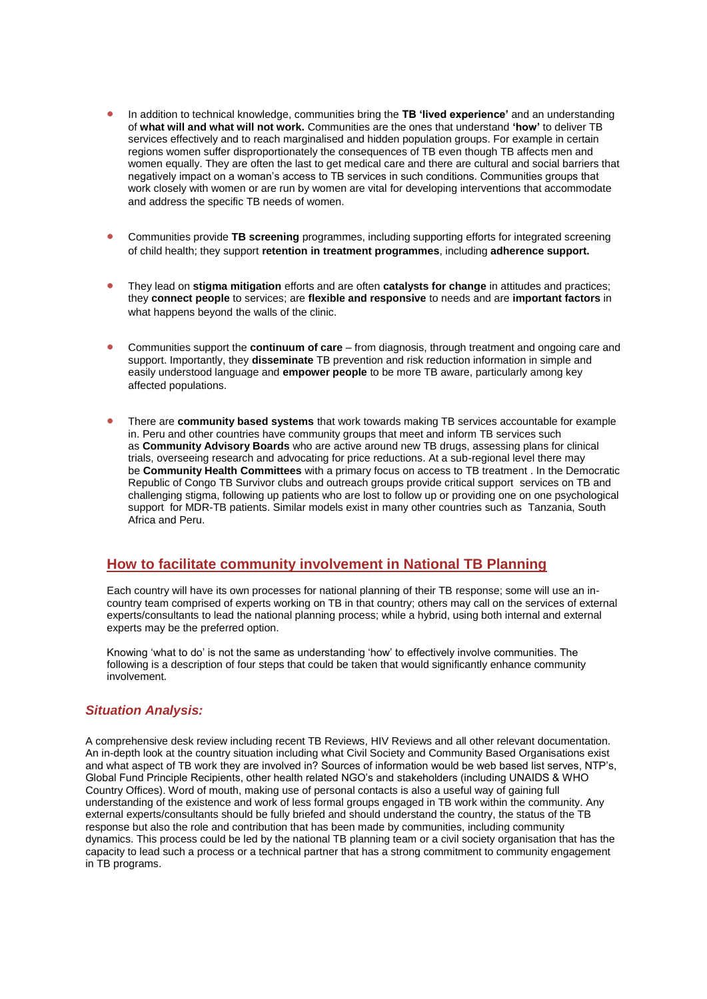- In addition to technical knowledge, communities bring the **TB 'lived experience'** and an understanding of **what will and what will not work.** Communities are the ones that understand **'how'** to deliver TB services effectively and to reach marginalised and hidden population groups. For example in certain regions women suffer disproportionately the consequences of TB even though TB affects men and women equally. They are often the last to get medical care and there are cultural and social barriers that negatively impact on a woman's access to TB services in such conditions. Communities groups that work closely with women or are run by women are vital for developing interventions that accommodate and address the specific TB needs of women.
- Communities provide **TB screening** programmes, including supporting efforts for integrated screening of child health; they support **retention in treatment programmes**, including **adherence support.**
- **•** They lead on **stigma mitigation** efforts and are often **catalysts for change** in attitudes and practices; they **connect people** to services; are **flexible and responsive** to needs and are **important factors** in what happens beyond the walls of the clinic.
- Communities support the **continuum of care** from diagnosis, through treatment and ongoing care and support. Importantly, they **disseminate** TB prevention and risk reduction information in simple and easily understood language and **empower people** to be more TB aware, particularly among key affected populations.
- **•** There are **community based systems** that work towards making TB services accountable for example in. Peru and other countries have community groups that meet and inform TB services such as **Community Advisory Boards** who are active around new TB drugs, assessing plans for clinical trials, overseeing research and advocating for price reductions. At a sub-regional level there may be **Community Health Committees** with a primary focus on access to TB treatment . In the Democratic Republic of Congo TB Survivor clubs and outreach groups provide critical support services on TB and challenging stigma, following up patients who are lost to follow up or providing one on one psychological support for MDR-TB patients. Similar models exist in many other countries such as Tanzania, South Africa and Peru.

## **How to facilitate community involvement in National TB Planning**

Each country will have its own processes for national planning of their TB response; some will use an incountry team comprised of experts working on TB in that country; others may call on the services of external experts/consultants to lead the national planning process; while a hybrid, using both internal and external experts may be the preferred option.

Knowing 'what to do' is not the same as understanding 'how' to effectively involve communities. The following is a description of four steps that could be taken that would significantly enhance community involvement.

#### *Situation Analysis:*

A comprehensive desk review including recent TB Reviews, HIV Reviews and all other relevant documentation. An in-depth look at the country situation including what Civil Society and Community Based Organisations exist and what aspect of TB work they are involved in? Sources of information would be web based list serves, NTP's, Global Fund Principle Recipients, other health related NGO's and stakeholders (including UNAIDS & WHO Country Offices). Word of mouth, making use of personal contacts is also a useful way of gaining full understanding of the existence and work of less formal groups engaged in TB work within the community. Any external experts/consultants should be fully briefed and should understand the country, the status of the TB response but also the role and contribution that has been made by communities, including community dynamics. This process could be led by the national TB planning team or a civil society organisation that has the capacity to lead such a process or a technical partner that has a strong commitment to community engagement in TB programs.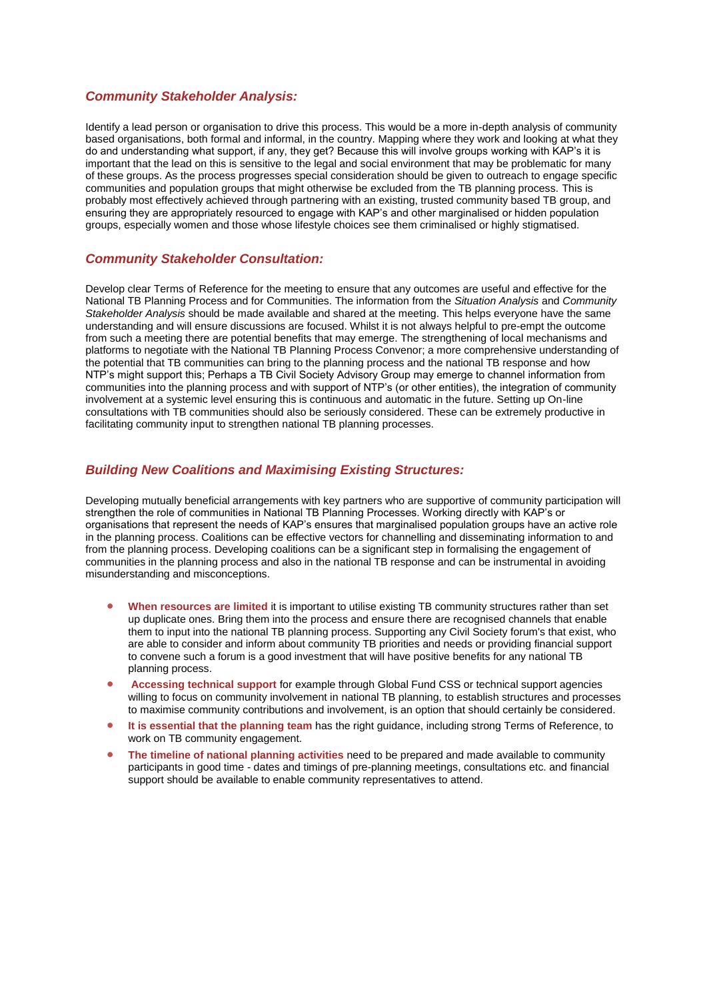#### *Community Stakeholder Analysis:*

Identify a lead person or organisation to drive this process. This would be a more in-depth analysis of community based organisations, both formal and informal, in the country. Mapping where they work and looking at what they do and understanding what support, if any, they get? Because this will involve groups working with KAP's it is important that the lead on this is sensitive to the legal and social environment that may be problematic for many of these groups. As the process progresses special consideration should be given to outreach to engage specific communities and population groups that might otherwise be excluded from the TB planning process. This is probably most effectively achieved through partnering with an existing, trusted community based TB group, and ensuring they are appropriately resourced to engage with KAP's and other marginalised or hidden population groups, especially women and those whose lifestyle choices see them criminalised or highly stigmatised.

#### *Community Stakeholder Consultation:*

Develop clear Terms of Reference for the meeting to ensure that any outcomes are useful and effective for the National TB Planning Process and for Communities. The information from the *Situation Analysis* and *Community Stakeholder Analysis* should be made available and shared at the meeting. This helps everyone have the same understanding and will ensure discussions are focused. Whilst it is not always helpful to pre-empt the outcome from such a meeting there are potential benefits that may emerge. The strengthening of local mechanisms and platforms to negotiate with the National TB Planning Process Convenor; a more comprehensive understanding of the potential that TB communities can bring to the planning process and the national TB response and how NTP's might support this; Perhaps a TB Civil Society Advisory Group may emerge to channel information from communities into the planning process and with support of NTP's (or other entities), the integration of community involvement at a systemic level ensuring this is continuous and automatic in the future. Setting up On-line consultations with TB communities should also be seriously considered. These can be extremely productive in facilitating community input to strengthen national TB planning processes.

#### *Building New Coalitions and Maximising Existing Structures:*

Developing mutually beneficial arrangements with key partners who are supportive of community participation will strengthen the role of communities in National TB Planning Processes. Working directly with KAP's or organisations that represent the needs of KAP's ensures that marginalised population groups have an active role in the planning process. Coalitions can be effective vectors for channelling and disseminating information to and from the planning process. Developing coalitions can be a significant step in formalising the engagement of communities in the planning process and also in the national TB response and can be instrumental in avoiding misunderstanding and misconceptions.

- **When resources are limited** it is important to utilise existing TB community structures rather than set up duplicate ones. Bring them into the process and ensure there are recognised channels that enable them to input into the national TB planning process. Supporting any Civil Society forum's that exist, who are able to consider and inform about community TB priorities and needs or providing financial support to convene such a forum is a good investment that will have positive benefits for any national TB planning process.
- **Accessing technical support** for example through Global Fund CSS or technical support agencies willing to focus on community involvement in national TB planning, to establish structures and processes to maximise community contributions and involvement, is an option that should certainly be considered.
- **It is essential that the planning team** has the right guidance, including strong Terms of Reference, to work on TB community engagement.
- **•** The timeline of national planning activities need to be prepared and made available to community participants in good time - dates and timings of pre-planning meetings, consultations etc. and financial support should be available to enable community representatives to attend.